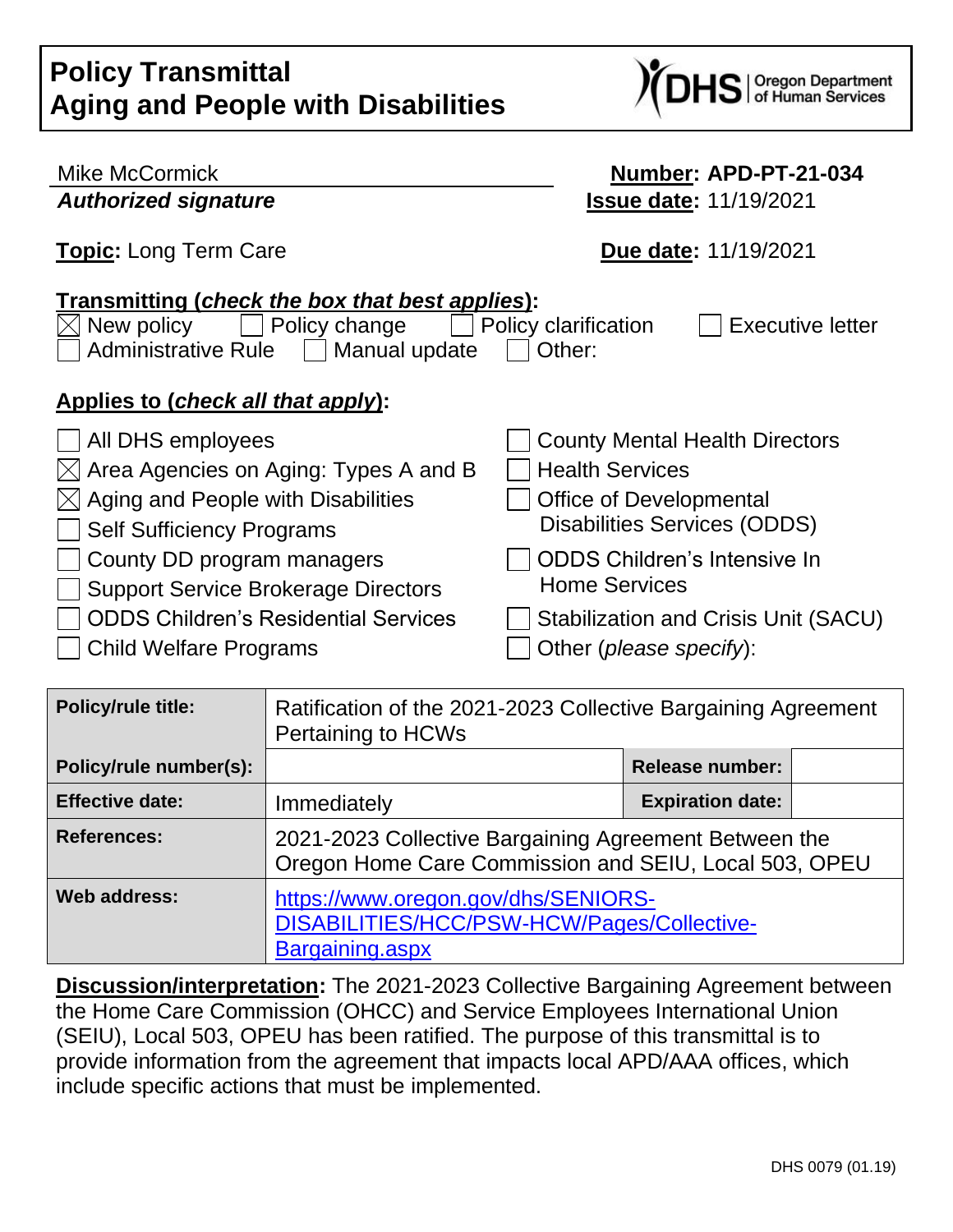| <b>FUILLY FRANSHIRLAR</b><br><b>Aging and People with Disabilities</b>                                                                                           | <b>DHS</b> or Human Services                              |
|------------------------------------------------------------------------------------------------------------------------------------------------------------------|-----------------------------------------------------------|
| <b>Mike McCormick</b>                                                                                                                                            | Number: APD-PT-21-034                                     |
| <b>Authorized signature</b>                                                                                                                                      | <b>Issue date: 11/19/2021</b>                             |
| <b>Topic:</b> Long Term Care                                                                                                                                     | Due date: 11/19/2021                                      |
| Transmitting (check the box that best applies):<br>New policy<br>Policy change<br>Administrative Rule    <br>Manual update<br>Applies to (check all that apply): | Policy clarification<br><b>Executive letter</b><br>Other: |
| All DHS employees                                                                                                                                                | <b>County Mental Health Directors</b>                     |
| Area Agencies on Aging: Types A and B                                                                                                                            | <b>Health Services</b>                                    |
| Aging and People with Disabilities                                                                                                                               | <b>Office of Developmental</b>                            |
| <b>Self Sufficiency Programs</b>                                                                                                                                 | Disabilities Services (ODDS)                              |
| County DD program managers                                                                                                                                       | <b>ODDS Children's Intensive In</b>                       |
| <b>Support Service Brokerage Directors</b>                                                                                                                       | <b>Home Services</b>                                      |
| <b>ODDS Children's Residential Services</b>                                                                                                                      | Stabilization and Crisis Unit (SACU)                      |
| <b>Child Welfare Programs</b>                                                                                                                                    | Other ( <i>please specify</i> ):                          |

**N** 

**Policy Transmittal**

| <b>Policy/rule title:</b> | Ratification of the 2021-2023 Collective Bargaining Agreement<br><b>Pertaining to HCWs</b>                     |                         |  |
|---------------------------|----------------------------------------------------------------------------------------------------------------|-------------------------|--|
| Policy/rule number(s):    |                                                                                                                | <b>Release number:</b>  |  |
| <b>Effective date:</b>    | Immediately                                                                                                    | <b>Expiration date:</b> |  |
| <b>References:</b>        | 2021-2023 Collective Bargaining Agreement Between the<br>Oregon Home Care Commission and SEIU, Local 503, OPEU |                         |  |
| Web address:              | https://www.oregon.gov/dhs/SENIORS-<br>DISABILITIES/HCC/PSW-HCW/Pages/Collective-<br>Bargaining.aspx           |                         |  |

**Discussion/interpretation:** The 2021-2023 Collective Bargaining Agreement between the Home Care Commission (OHCC) and Service Employees International Union (SEIU), Local 503, OPEU has been ratified. The purpose of this transmittal is to provide information from the agreement that impacts local APD/AAA offices, which include specific actions that must be implemented.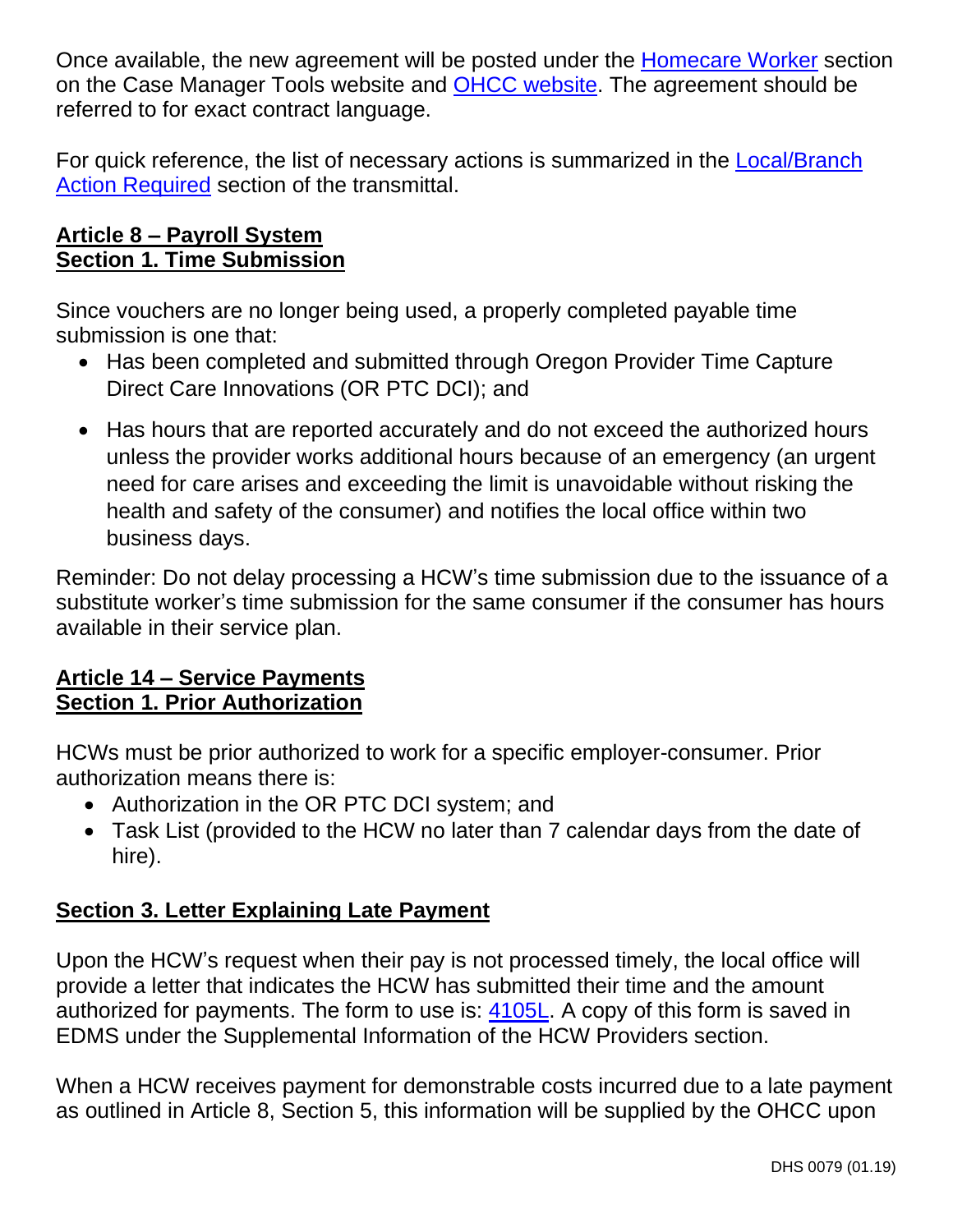Once available, the new agreement will be posted under the [Homecare Worker](https://www.oregon.gov/dhs/SENIORS-DISABILITIES/HCC/PSW-HCW/Pages/Collective-Bargaining.aspx) section on the Case Manager Tools website and [OHCC website.](https://www.oregon.gov/dhs/SENIORS-DISABILITIES/HCC/PSW-HCW/Pages/Collective-Bargaining.aspx) The agreement should be referred to for exact contract language.

For quick reference, the list of necessary actions is summarized in the **Local/Branch** [Action Required](#page-7-0) section of the transmittal.

### **Article 8 – Payroll System Section 1. Time Submission**

Since vouchers are no longer being used, a properly completed payable time submission is one that:

- Has been completed and submitted through Oregon Provider Time Capture Direct Care Innovations (OR PTC DCI); and
- Has hours that are reported accurately and do not exceed the authorized hours unless the provider works additional hours because of an emergency (an urgent need for care arises and exceeding the limit is unavoidable without risking the health and safety of the consumer) and notifies the local office within two business days.

Reminder: Do not delay processing a HCW's time submission due to the issuance of a substitute worker's time submission for the same consumer if the consumer has hours available in their service plan.

### **Article 14 – Service Payments Section 1. Prior Authorization**

HCWs must be prior authorized to work for a specific employer-consumer. Prior authorization means there is:

- Authorization in the OR PTC DCI system; and
- Task List (provided to the HCW no later than 7 calendar days from the date of hire).

### **Section 3. Letter Explaining Late Payment**

Upon the HCW's request when their pay is not processed timely, the local office will provide a letter that indicates the HCW has submitted their time and the amount authorized for payments. The form to use is: [4105L.](https://sharedsystems.dhsoha.state.or.us/DHSForms/Served/se4105l.doc?CFGRIDKEY=APD%204105L,4105L,Delayed%20Voucher%20Processing%20Letter%20(print%20on%20letterhead%20paper),se4105L.pdf,,se4105L.doc,,,,,,,,../FORMS/-,,../FORMS/-,) A copy of this form is saved in EDMS under the Supplemental Information of the HCW Providers section.

When a HCW receives payment for demonstrable costs incurred due to a late payment as outlined in Article 8, Section 5, this information will be supplied by the OHCC upon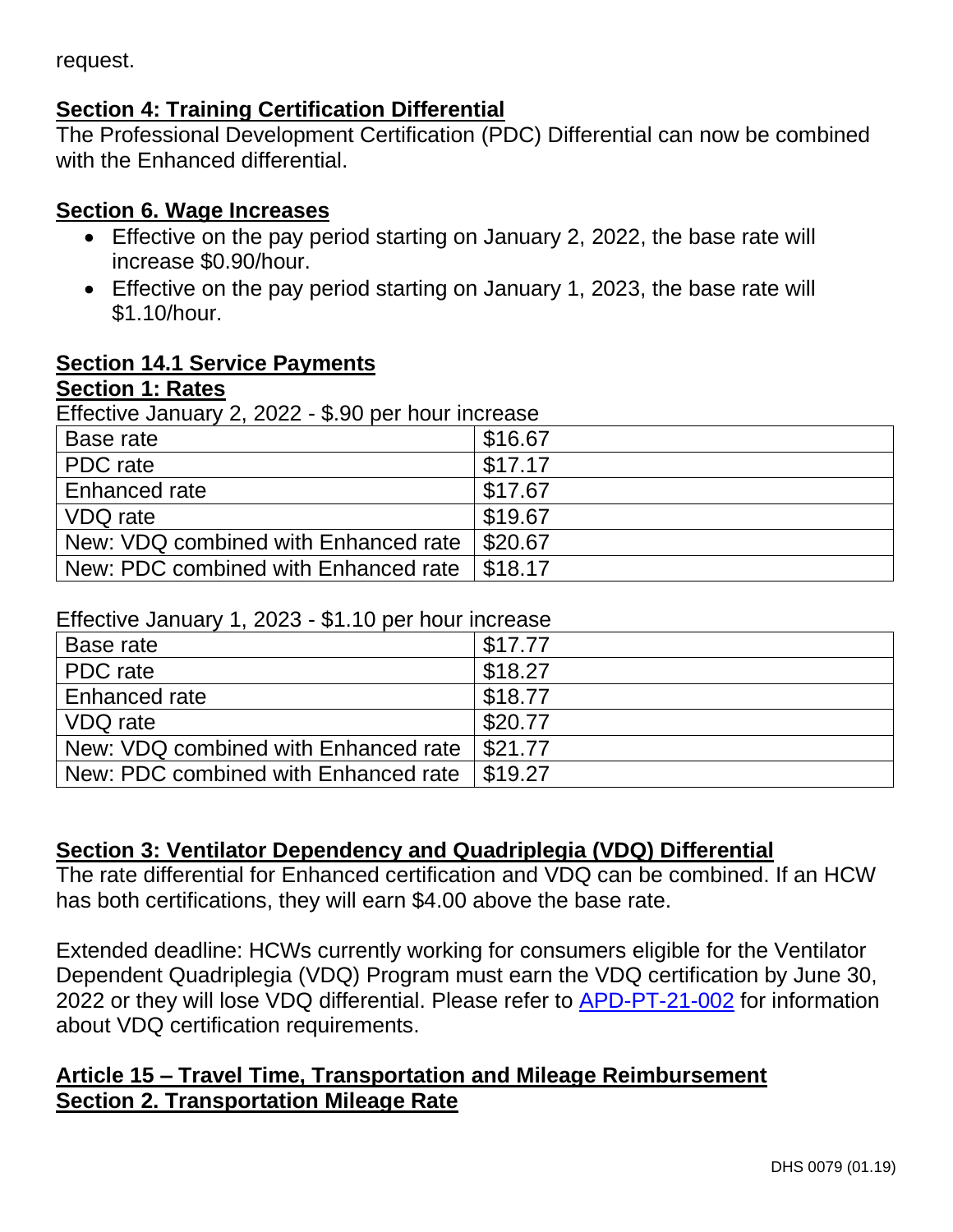request.

### **Section 4: Training Certification Differential**

The Professional Development Certification (PDC) Differential can now be combined with the Enhanced differential.

### **Section 6. Wage Increases**

- Effective on the pay period starting on January 2, 2022, the base rate will increase \$0.90/hour.
- Effective on the pay period starting on January 1, 2023, the base rate will \$1.10/hour.

### **Section 14.1 Service Payments**

### **Section 1: Rates**

Effective January 2, 2022 - \$.90 per hour increase

| Base rate                            | \$16.67 |
|--------------------------------------|---------|
| PDC rate                             | \$17.17 |
| Enhanced rate                        | \$17.67 |
| VDQ rate                             | \$19.67 |
| New: VDQ combined with Enhanced rate | \$20.67 |
| New: PDC combined with Enhanced rate | \$18.17 |

#### Effective January 1, 2023 - \$1.10 per hour increase

| -----------------                    |         |  |
|--------------------------------------|---------|--|
| Base rate                            | \$17.77 |  |
| PDC rate                             | \$18.27 |  |
| Enhanced rate                        | \$18.77 |  |
| VDQ rate                             | \$20.77 |  |
| New: VDQ combined with Enhanced rate | \$21.77 |  |
| New: PDC combined with Enhanced rate | \$19.27 |  |

### **Section 3: Ventilator Dependency and Quadriplegia (VDQ) Differential**

The rate differential for Enhanced certification and VDQ can be combined. If an HCW has both certifications, they will earn \$4.00 above the base rate.

Extended deadline: HCWs currently working for consumers eligible for the Ventilator Dependent Quadriplegia (VDQ) Program must earn the VDQ certification by June 30, 2022 or they will lose VDQ differential. Please refer to [APD-PT-21-002](http://www.dhs.state.or.us/policy/spd/transmit/pt/2021/pt21002.pdf) for information about VDQ certification requirements.

### **Article 15 – Travel Time, Transportation and Mileage Reimbursement Section 2. Transportation Mileage Rate**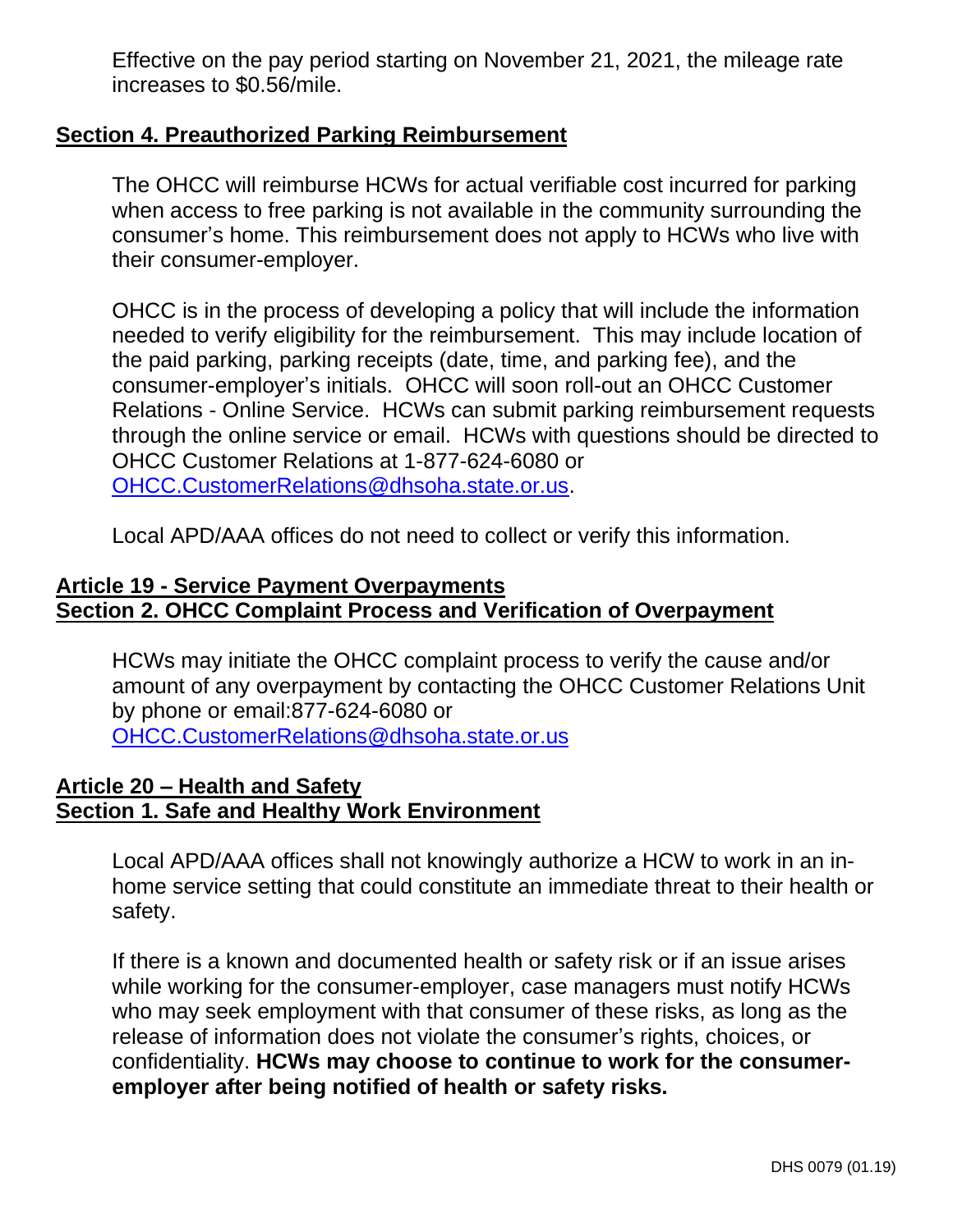Effective on the pay period starting on November 21, 2021, the mileage rate increases to \$0.56/mile.

### **Section 4. Preauthorized Parking Reimbursement**

The OHCC will reimburse HCWs for actual verifiable cost incurred for parking when access to free parking is not available in the community surrounding the consumer's home. This reimbursement does not apply to HCWs who live with their consumer-employer.

OHCC is in the process of developing a policy that will include the information needed to verify eligibility for the reimbursement. This may include location of the paid parking, parking receipts (date, time, and parking fee), and the consumer-employer's initials. OHCC will soon roll-out an OHCC Customer Relations - Online Service. HCWs can submit parking reimbursement requests through the online service or email. HCWs with questions should be directed to OHCC Customer Relations at 1-877-624-6080 or [OHCC.CustomerRelations@dhsoha.state.or.us.](mailto:OHCC.CustomerRelations@dhsoha.state.or.us)

Local APD/AAA offices do not need to collect or verify this information.

### **Article 19 - Service Payment Overpayments Section 2. OHCC Complaint Process and Verification of Overpayment**

HCWs may initiate the OHCC complaint process to verify the cause and/or amount of any overpayment by contacting the OHCC Customer Relations Unit by phone or email:877-624-6080 or [OHCC.CustomerRelations@dhsoha.state.or.us](mailto:OHCC.CustomerRelations@dhsoha.state.or.us)

### **Article 20 – Health and Safety Section 1. Safe and Healthy Work Environment**

Local APD/AAA offices shall not knowingly authorize a HCW to work in an inhome service setting that could constitute an immediate threat to their health or safety.

If there is a known and documented health or safety risk or if an issue arises while working for the consumer-employer, case managers must notify HCWs who may seek employment with that consumer of these risks, as long as the release of information does not violate the consumer's rights, choices, or confidentiality. **HCWs may choose to continue to work for the consumeremployer after being notified of health or safety risks.**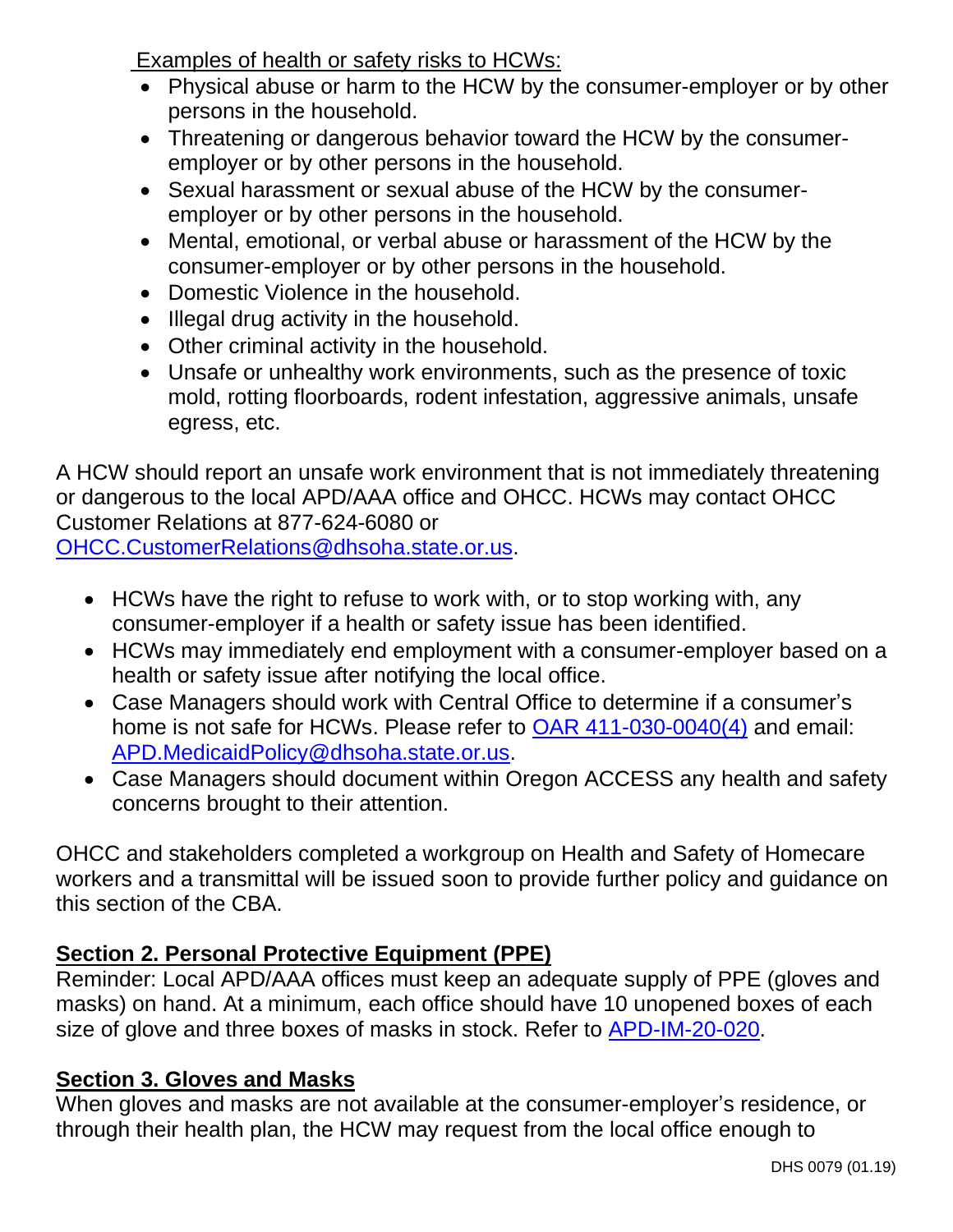Examples of health or safety risks to HCWs:

- Physical abuse or harm to the HCW by the consumer-employer or by other persons in the household.
- Threatening or dangerous behavior toward the HCW by the consumeremployer or by other persons in the household.
- Sexual harassment or sexual abuse of the HCW by the consumeremployer or by other persons in the household.
- Mental, emotional, or verbal abuse or harassment of the HCW by the consumer-employer or by other persons in the household.
- Domestic Violence in the household.
- Illegal drug activity in the household.
- Other criminal activity in the household.
- Unsafe or unhealthy work environments, such as the presence of toxic mold, rotting floorboards, rodent infestation, aggressive animals, unsafe egress, etc.

A HCW should report an unsafe work environment that is not immediately threatening or dangerous to the local APD/AAA office and OHCC. HCWs may contact OHCC Customer Relations at 877-624-6080 or [OHCC.CustomerRelations@dhsoha.state.or.us.](mailto:OHCC.CustomerRelations@dhsoha.state.or.us)

- HCWs have the right to refuse to work with, or to stop working with, any consumer-employer if a health or safety issue has been identified.
- HCWs may immediately end employment with a consumer-employer based on a health or safety issue after notifying the local office.
- Case Managers should work with Central Office to determine if a consumer's home is not safe for HCWs. Please refer to [OAR 411-030-0040\(4\)](https://www.oregon.gov/DHS/SENIORS-DISABILITIES/SPPD/APDRules/411-030.pdf) and email: [APD.MedicaidPolicy@dhsoha.state.or.us.](mailto:APD.MedicaidPolicy@dhsoha.state.or.us)
- Case Managers should document within Oregon ACCESS any health and safety concerns brought to their attention.

OHCC and stakeholders completed a workgroup on Health and Safety of Homecare workers and a transmittal will be issued soon to provide further policy and guidance on this section of the CBA.

## **Section 2. Personal Protective Equipment (PPE)**

Reminder: Local APD/AAA offices must keep an adequate supply of PPE (gloves and masks) on hand. At a minimum, each office should have 10 unopened boxes of each size of glove and three boxes of masks in stock. Refer to [APD-IM-20-020.](http://www.dhs.state.or.us/policy/spd/transmit/im/2020/im20020.pdf)

### **Section 3. Gloves and Masks**

When gloves and masks are not available at the consumer-employer's residence, or through their health plan, the HCW may request from the local office enough to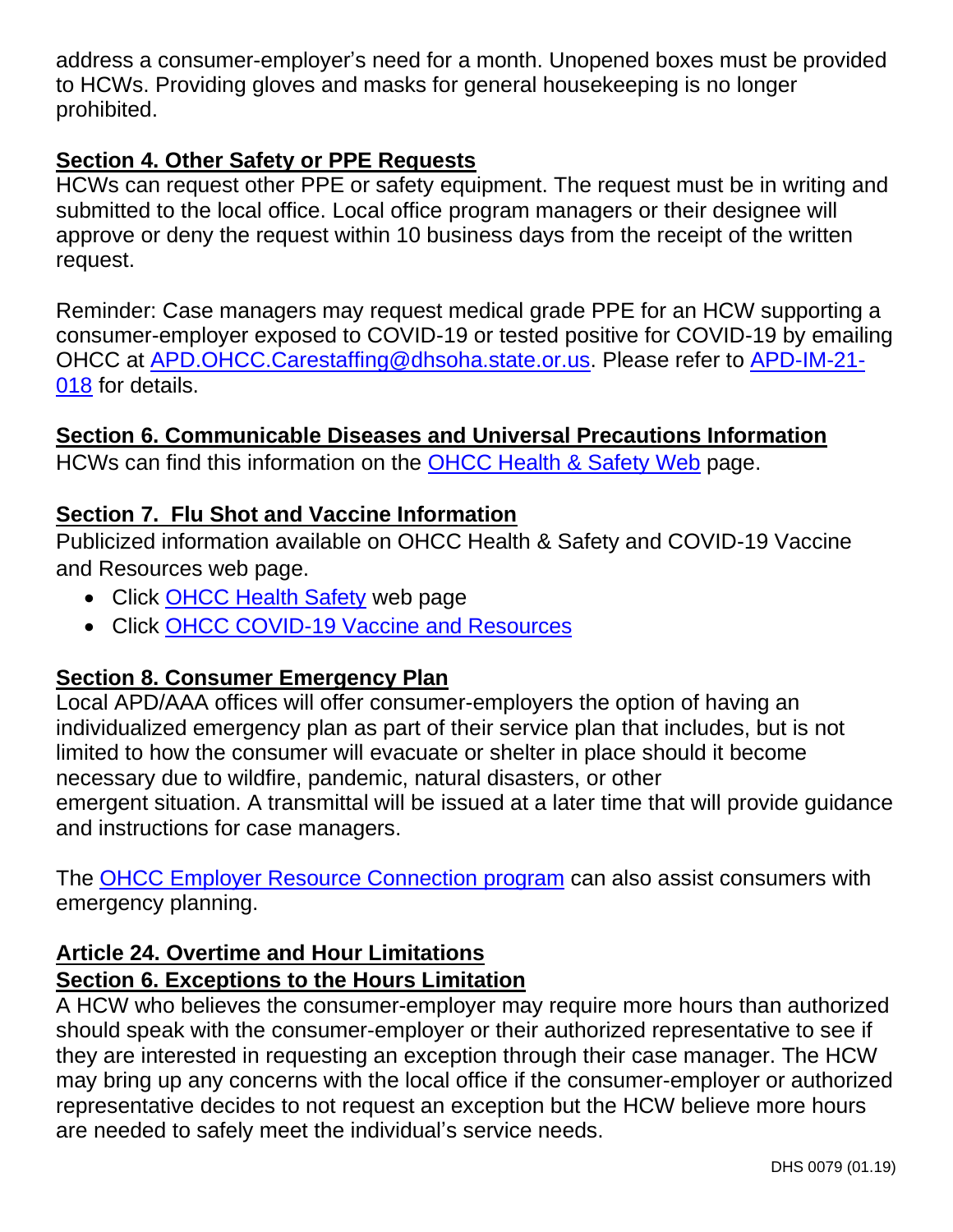address a consumer-employer's need for a month. Unopened boxes must be provided to HCWs. Providing gloves and masks for general housekeeping is no longer prohibited.

### **Section 4. Other Safety or PPE Requests**

HCWs can request other PPE or safety equipment. The request must be in writing and submitted to the local office. Local office program managers or their designee will approve or deny the request within 10 business days from the receipt of the written request.

Reminder: Case managers may request medical grade PPE for an HCW supporting a consumer-employer exposed to COVID-19 or tested positive for COVID-19 by emailing OHCC at [APD.OHCC.Carestaffing@dhsoha.state.or.us.](mailto:APD.OHCC.Carestaffing@dhsoha.state.or.us) Please refer to [APD-IM-21-](http://www.dhs.state.or.us/policy/spd/transmit/im/2021/im21018.pdf) [018](http://www.dhs.state.or.us/policy/spd/transmit/im/2021/im21018.pdf) for details.

### **Section 6. Communicable Diseases and Universal Precautions Information**

HCWs can find this information on the [OHCC Health & Safety](https://www.oregon.gov/dhs/SENIORS-DISABILITIES/HCC/PSW-HCW/Pages/Health-Safety.aspx) Web page.

### **Section 7. Flu Shot and Vaccine Information**

Publicized information available on OHCC Health & Safety and COVID-19 Vaccine and Resources web page.

- Click [OHCC Health Safety](https://www.oregon.gov/dhs/SENIORS-DISABILITIES/HCC/PSW-HCW/Pages/Health-Safety.aspx) web page
- Click [OHCC COVID-19 Vaccine and](https://www.oregon.gov/dhs/SENIORS-DISABILITIES/HCC/Pages/COVID-19-Vaccine.aspx) Resources

### **Section 8. Consumer Emergency Plan**

Local APD/AAA offices will offer consumer-employers the option of having an individualized emergency plan as part of their service plan that includes, but is not limited to how the consumer will evacuate or shelter in place should it become necessary due to wildfire, pandemic, natural disasters, or other emergent situation. A transmittal will be issued at a later time that will provide guidance and instructions for case managers.

The [OHCC Employer Resource](https://www.oregon.gov/DHS/SENIORS-DISABILITIES/HCC/Pages/Steps.aspx) Connection program can also assist consumers with emergency planning.

### **Article 24. Overtime and Hour Limitations Section 6. Exceptions to the Hours Limitation**

A HCW who believes the consumer-employer may require more hours than authorized should speak with the consumer-employer or their authorized representative to see if they are interested in requesting an exception through their case manager. The HCW may bring up any concerns with the local office if the consumer-employer or authorized representative decides to not request an exception but the HCW believe more hours are needed to safely meet the individual's service needs.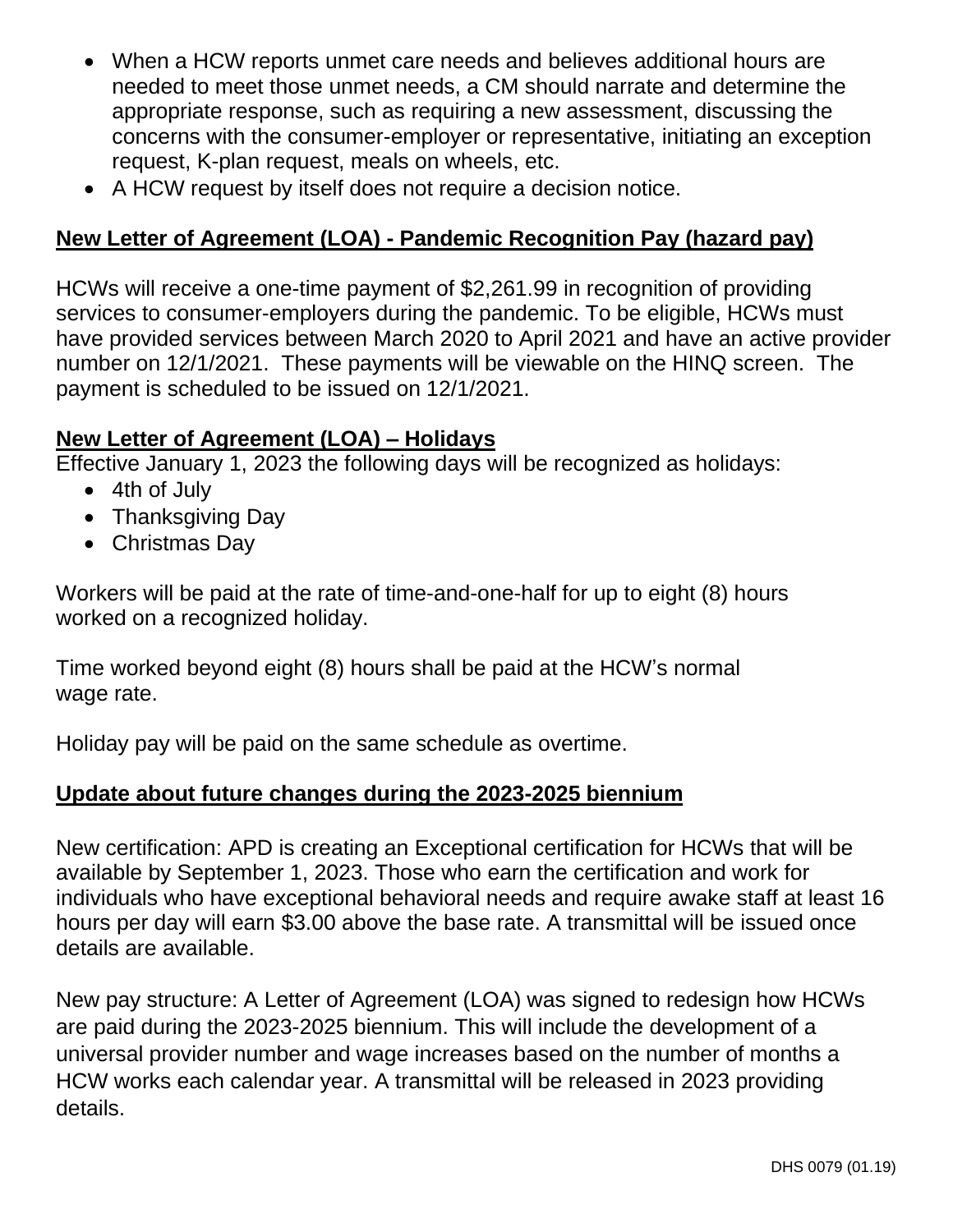- When a HCW reports unmet care needs and believes additional hours are needed to meet those unmet needs, a CM should narrate and determine the appropriate response, such as requiring a new assessment, discussing the concerns with the consumer-employer or representative, initiating an exception request, K-plan request, meals on wheels, etc.
- A HCW request by itself does not require a decision notice.

### **New Letter of Agreement (LOA) - Pandemic Recognition Pay (hazard pay)**

HCWs will receive a one-time payment of \$2,261.99 in recognition of providing services to consumer-employers during the pandemic. To be eligible, HCWs must have provided services between March 2020 to April 2021 and have an active provider number on 12/1/2021. These payments will be viewable on the HINQ screen. The payment is scheduled to be issued on 12/1/2021.

### **New Letter of Agreement (LOA) – Holidays**

Effective January 1, 2023 the following days will be recognized as holidays:

- 4th of July
- Thanksgiving Day
- Christmas Day

Workers will be paid at the rate of time-and-one-half for up to eight (8) hours worked on a recognized holiday.

Time worked beyond eight (8) hours shall be paid at the HCW's normal wage rate.

Holiday pay will be paid on the same schedule as overtime.

### **Update about future changes during the 2023-2025 biennium**

New certification: APD is creating an Exceptional certification for HCWs that will be available by September 1, 2023. Those who earn the certification and work for individuals who have exceptional behavioral needs and require awake staff at least 16 hours per day will earn \$3.00 above the base rate. A transmittal will be issued once details are available.

New pay structure: A Letter of Agreement (LOA) was signed to redesign how HCWs are paid during the 2023-2025 biennium. This will include the development of a universal provider number and wage increases based on the number of months a HCW works each calendar year. A transmittal will be released in 2023 providing details.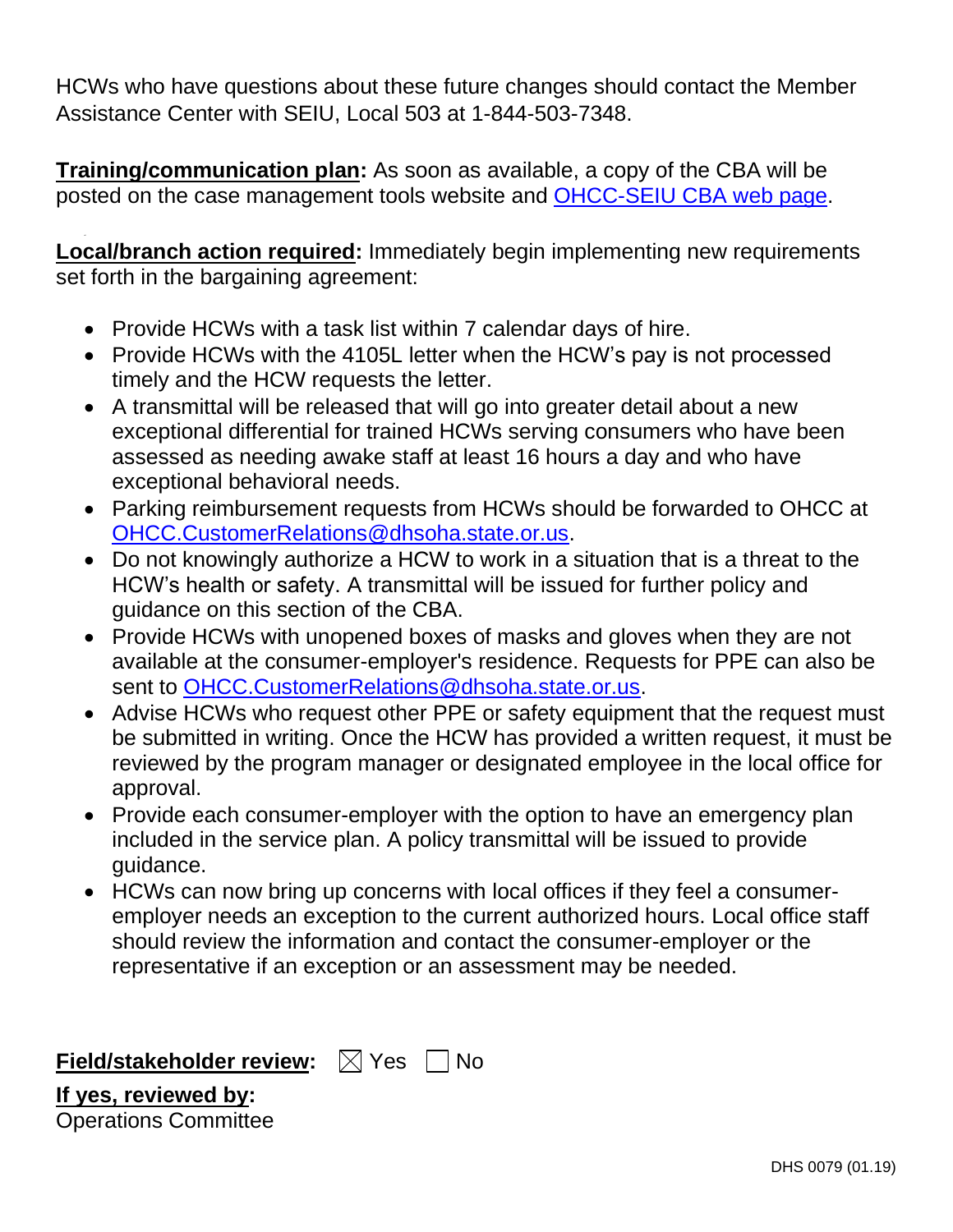HCWs who have questions about these future changes should contact the Member Assistance Center with SEIU, Local 503 at 1-844-503-7348.

**Training/communication plan:** As soon as available, a copy of the CBA will be posted on the case management tools website and [OHCC-SEIU CBA](https://www.oregon.gov/dhs/SENIORS-DISABILITIES/HCC/PSW-HCW/Pages/Collective-Bargaining.aspx) web page.

<span id="page-7-0"></span>**Local/branch action required:** Immediately begin implementing new requirements set forth in the bargaining agreement:

- Provide HCWs with a task list within 7 calendar days of hire.
- Provide HCWs with the 4105L letter when the HCW's pay is not processed timely and the HCW requests the letter.
- A transmittal will be released that will go into greater detail about a new exceptional differential for trained HCWs serving consumers who have been assessed as needing awake staff at least 16 hours a day and who have exceptional behavioral needs.
- Parking reimbursement requests from HCWs should be forwarded to OHCC at [OHCC.CustomerRelations@dhsoha.state.or.us.](mailto:OHCC.CustomerRelations@dhsoha.state.or.us)
- Do not knowingly authorize a HCW to work in a situation that is a threat to the HCW's health or safety. A transmittal will be issued for further policy and guidance on this section of the CBA.
- Provide HCWs with unopened boxes of masks and gloves when they are not available at the consumer-employer's residence. Requests for PPE can also be sent to [OHCC.CustomerRelations@dhsoha.state.or.us.](mailto:OHCC.CustomerRelations@dhsoha.state.or.us)
- Advise HCWs who request other PPE or safety equipment that the request must be submitted in writing. Once the HCW has provided a written request, it must be reviewed by the program manager or designated employee in the local office for approval.
- Provide each consumer-employer with the option to have an emergency plan included in the service plan. A policy transmittal will be issued to provide guidance.
- HCWs can now bring up concerns with local offices if they feel a consumeremployer needs an exception to the current authorized hours. Local office staff should review the information and contact the consumer-employer or the representative if an exception or an assessment may be needed.

**Field/stakeholder review:**  $\boxtimes$  Yes  $\Box$  No

**If yes, reviewed by:** Operations Committee